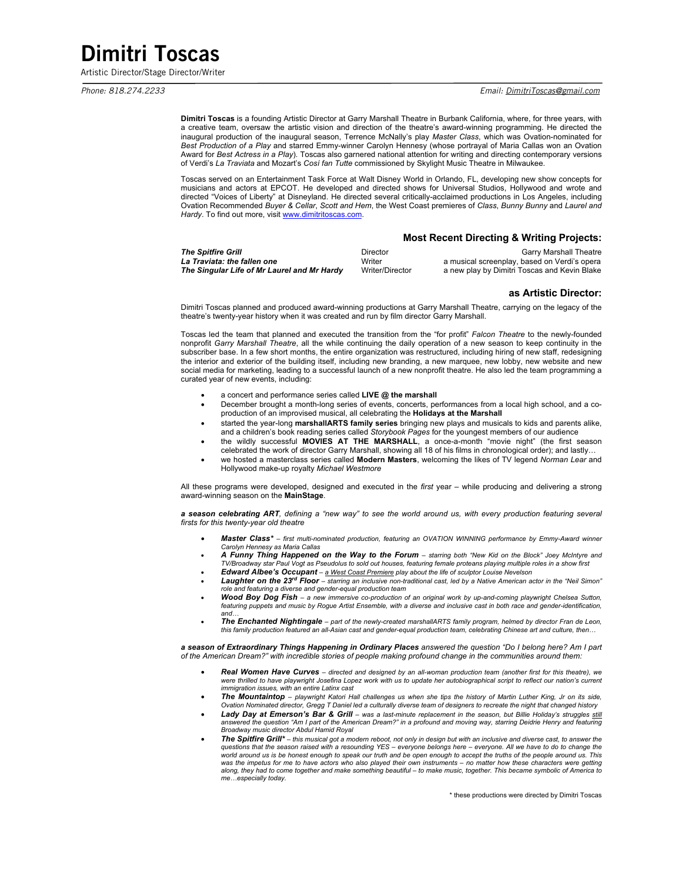# Dimitri Toscas

Artistic Director/Stage Director/Writer

*Phone: 818.274.2233 Email: DimitriToscas@gmail.com* 

**Dimitri Toscas** is a founding Artistic Director at Garry Marshall Theatre in Burbank California, where, for three years, with a creative team, oversaw the artistic vision and direction of the theatre's award-winning programming. He directed the inaugural production of the inaugural season, Terrence McNally's play *Master Class*, which was Ovation-nominated for *Best Production of a Play* and starred Emmy-winner Carolyn Hennesy (whose portrayal of Maria Callas won an Ovation Award for *Best Actress in a Play*). Toscas also garnered national attention for writing and directing contemporary versions of Verdi's *La Traviata* and Mozart's *Cosí fan Tutte* commissioned by Skylight Music Theatre in Milwaukee.

Toscas served on an Entertainment Task Force at Walt Disney World in Orlando, FL, developing new show concepts for musicians and actors at EPCOT. He developed and directed shows for Universal Studios, Hollywood and wrote and directed "Voices of Liberty" at Disneyland. He directed several critically-acclaimed productions in Los Angeles, including Ovation Recommended *Buyer & Cellar*, *Scott and Hem*, the West Coast premieres of *Class*, *Bunny Bunny* and *Laurel and*  Hardy. To find out more, visit www.dimitritoscas.com.

## **Most Recent Directing & Writing Projects:**

| <b>The Spitfire Grill</b>                   | Director        | <b>Garry Marshall Theatre</b>                |
|---------------------------------------------|-----------------|----------------------------------------------|
| La Traviata: the fallen one                 | Writer          | a musical screenplay, based on Verdi's opera |
| The Singular Life of Mr Laurel and Mr Hardy | Writer/Director | a new play by Dimitri Toscas and Kevin Blake |

### **as Artistic Director:**

Dimitri Toscas planned and produced award-winning productions at Garry Marshall Theatre, carrying on the legacy of the theatre's twenty-year history when it was created and run by film director Garry Marshall.

Toscas led the team that planned and executed the transition from the "for profit" *Falcon Theatre* to the newly-founded nonprofit *Garry Marshall Theatre*, all the while continuing the daily operation of a new season to keep continuity in the subscriber base. In a few short months, the entire organization was restructured, including hiring of new staff, redesigning the interior and exterior of the building itself, including new branding, a new marquee, new lobby, new website and new social media for marketing, leading to a successful launch of a new nonprofit theatre. He also led the team programming a curated year of new events, including:

- a concert and performance series called **LIVE @ the marshall**
- December brought a month-long series of events, concerts, performances from a local high school, and a coproduction of an improvised musical, all celebrating the **Holidays at the Marshall**
- started the year-long **marshallARTS family series** bringing new plays and musicals to kids and parents alike, and a children's book reading series called *Storybook Pages* for the youngest members of our audience
- the wildly successful **MOVIES AT THE MARSHALL**, a once-a-month "movie night" (the first season celebrated the work of director Garry Marshall, showing all 18 of his films in chronological order); and lastly…
- we hosted a masterclass series called **Modern Masters**, welcoming the likes of TV legend *Norman Lear* and Hollywood make-up royalty *Michael Westmore*

All these programs were developed, designed and executed in the *first* year – while producing and delivering a strong award-winning season on the **MainStage**.

*a season celebrating ART, defining a "new way" to see the world around us, with every production featuring several firsts for this twenty-year old theatre*

- *Master Class\* – first multi-nominated production, featuring an OVATION WINNING performance by Emmy-Award winner Carolyn Hennesy as Maria Callas*
- *A Funny Thing Happened on the Way to the Forum – starring both "New Kid on the Block" Joey McIntyre and TV/Broadway star Paul Vogt as Pseudolus to sold out houses, featuring female proteans playing multiple roles in a show first*
- *Edward Albee's Occupant – a West Coast Premiere play about the life of sculptor Louise Nevelson*
- *Laughter on the 23rd Floor – starring an inclusive non-traditional cast, led by a Native American actor in the "Neil Simon" role and featuring a diverse and gender-equal production team*
- *Wood Boy Dog Fish – a new immersive co-production of an original work by up-and-coming playwright Chelsea Sutton, featuring puppets and music by Rogue Artist Ensemble, with a diverse and inclusive cast in both race and gender-identification, and…*
- **The Enchanted Nightingale** part of the newly-created marshallARTS family program, helmed by director Fran de Leon,<br>this family production featured an all-Asian cast and gender-equal production team, celebrating Chinese

*a season of Extraordinary Things Happening in Ordinary Places answered the question "Do I belong here? Am I part of the American Dream?" with incredible stories of people making profound change in the communities around them:*

- *Real Women Have Curves – directed and designed by an all-woman production team (another first for this theatre), we*  were thrilled to have playwright Josefina Lopez work with us to update her autobiographical script to reflect our nation's current<br>immigration issues, with an entire Latinx cast
- *The Mountaintop – playwright Katori Hall challenges us when she tips the history of Martin Luther King, Jr on its side, Ovation Nominated director, Gregg T Daniel led a culturally diverse team of designers to recreate the night that changed history*
- *Lady Day at Emerson's Bar & Grill – was a last-minute replacement in the season, but Billie Holiday's struggles still answered the question "Am I part of the American Dream?" in a profound and moving way, starring Deidrie Henry and featuring Broadway music director Abdul Hamid Royal*
- *The Spitfire Grill\* – this musical got a modern reboot, not only in design but with an inclusive and diverse cast, to answer the questions that the season raised with a resounding YES – everyone belongs here – everyone. All we have to do to change the world around us is be honest enough to speak our truth and be open enough to accept the truths of the people around us. This*  was the impetus for me to have actors who also played their own instruments – no matter how these characters were getting<br>along, they had to come together and make something beautiful – to make music, together. This became *me…especially today.*

\* these productions were directed by Dimitri Toscas